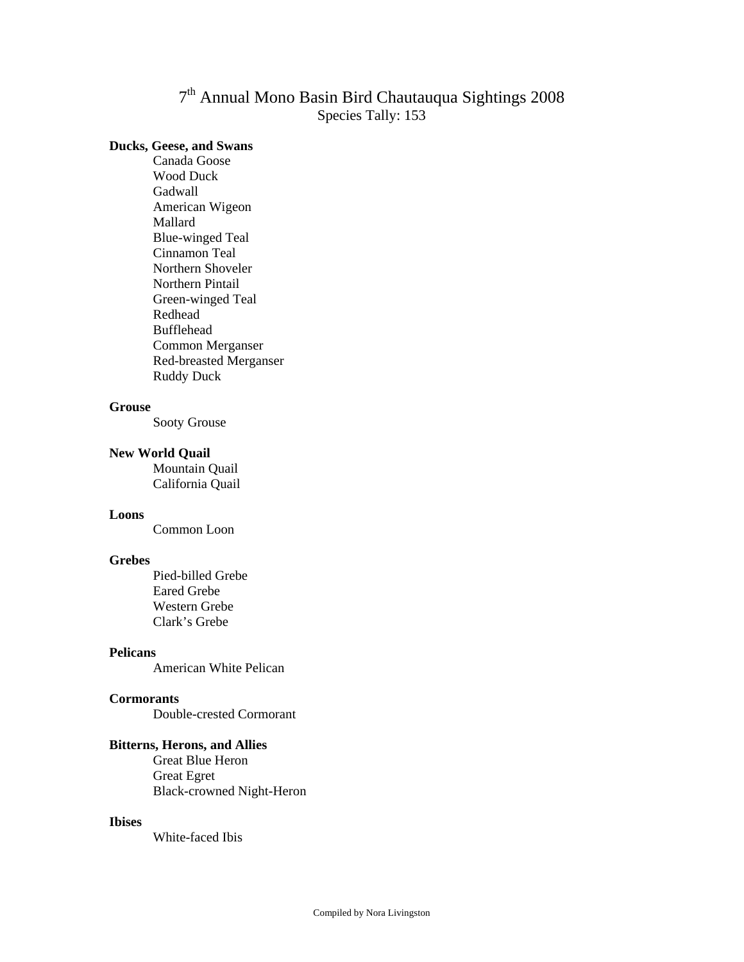# 7th Annual Mono Basin Bird Chautauqua Sightings 2008 Species Tally: 153

# **Ducks, Geese, and Swans**

 Canada Goose Wood Duck Gadwall American Wigeon Mallard Blue-winged Teal Cinnamon Teal Northern Shoveler Northern Pintail Green-winged Teal Redhead Bufflehead Common Merganser Red-breasted Merganser Ruddy Duck

# **Grouse**

Sooty Grouse

#### **New World Quail**

Mountain Quail California Quail

# **Loons**

Common Loon

# **Grebes**

 Pied-billed Grebe Eared Grebe Western Grebe Clark's Grebe

# **Pelicans**

American White Pelican

### **Cormorants**

Double-crested Cormorant

# **Bitterns, Herons, and Allies**

Great Blue Heron Great Egret Black-crowned Night-Heron

#### **Ibises**

White-faced Ibis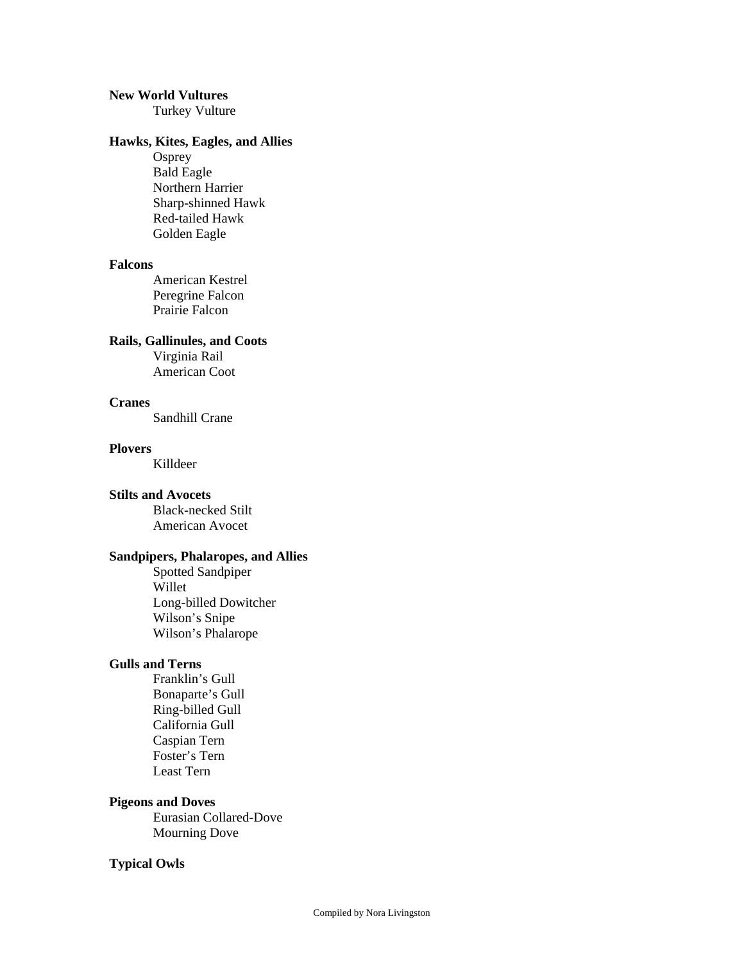# **New World Vultures**

Turkey Vulture

# **Hawks, Kites, Eagles, and Allies**

**Osprey**  Bald Eagle Northern Harrier Sharp-shinned Hawk Red-tailed Hawk Golden Eagle

# **Falcons**

 American Kestrel Peregrine Falcon Prairie Falcon

# **Rails, Gallinules, and Coots**

 Virginia Rail American Coot

### **Cranes**

Sandhill Crane

#### **Plovers**

Killdeer

# **Stilts and Avocets**

 Black-necked Stilt American Avocet

# **Sandpipers, Phalaropes, and Allies**

 Spotted Sandpiper Willet Long-billed Dowitcher Wilson's Snipe Wilson's Phalarope

# **Gulls and Terns**

 Franklin's Gull Bonaparte's Gull Ring-billed Gull California Gull Caspian Tern Foster's Tern Least Tern

### **Pigeons and Doves**

 Eurasian Collared-Dove Mourning Dove

# **Typical Owls**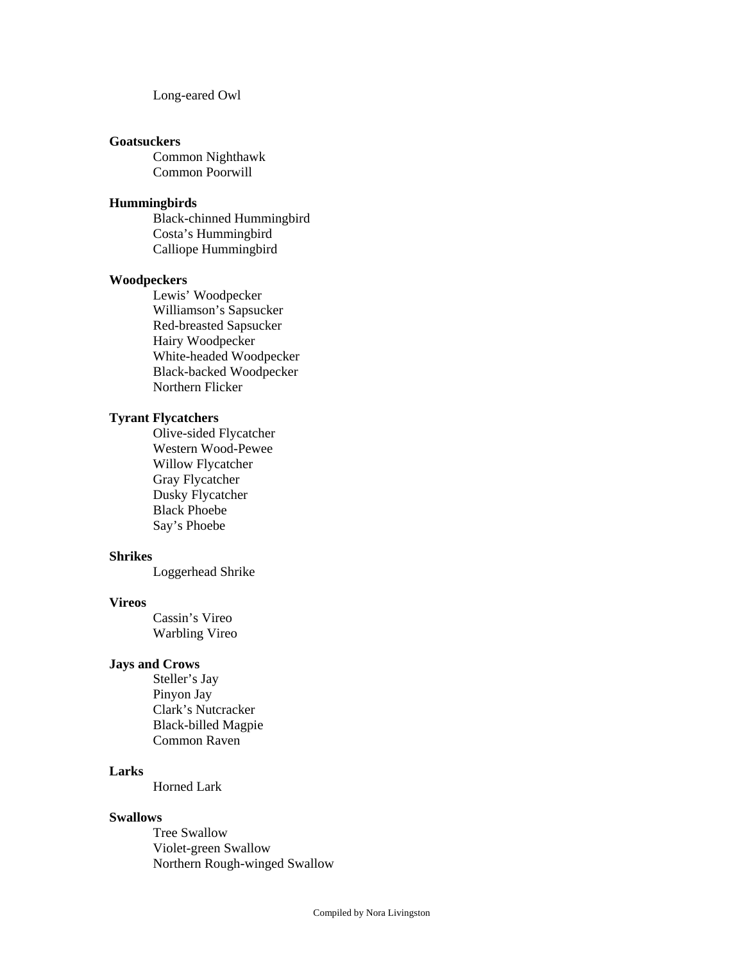Long-eared Owl

# **Goatsuckers**

 Common Nighthawk Common Poorwill

# **Hummingbirds**

 Black-chinned Hummingbird Costa's Hummingbird Calliope Hummingbird

### **Woodpeckers**

 Lewis' Woodpecker Williamson's Sapsucker Red-breasted Sapsucker Hairy Woodpecker White-headed Woodpecker Black-backed Woodpecker Northern Flicker

# **Tyrant Flycatchers**

 Olive-sided Flycatcher Western Wood-Pewee Willow Flycatcher Gray Flycatcher Dusky Flycatcher Black Phoebe Say's Phoebe

#### **Shrikes**

Loggerhead Shrike

# **Vireos**

 Cassin's Vireo Warbling Vireo

# **Jays and Crows**

 Steller's Jay Pinyon Jay Clark's Nutcracker Black-billed Magpie Common Raven

# **Larks**

Horned Lark

### **Swallows**

 Tree Swallow Violet-green Swallow Northern Rough-winged Swallow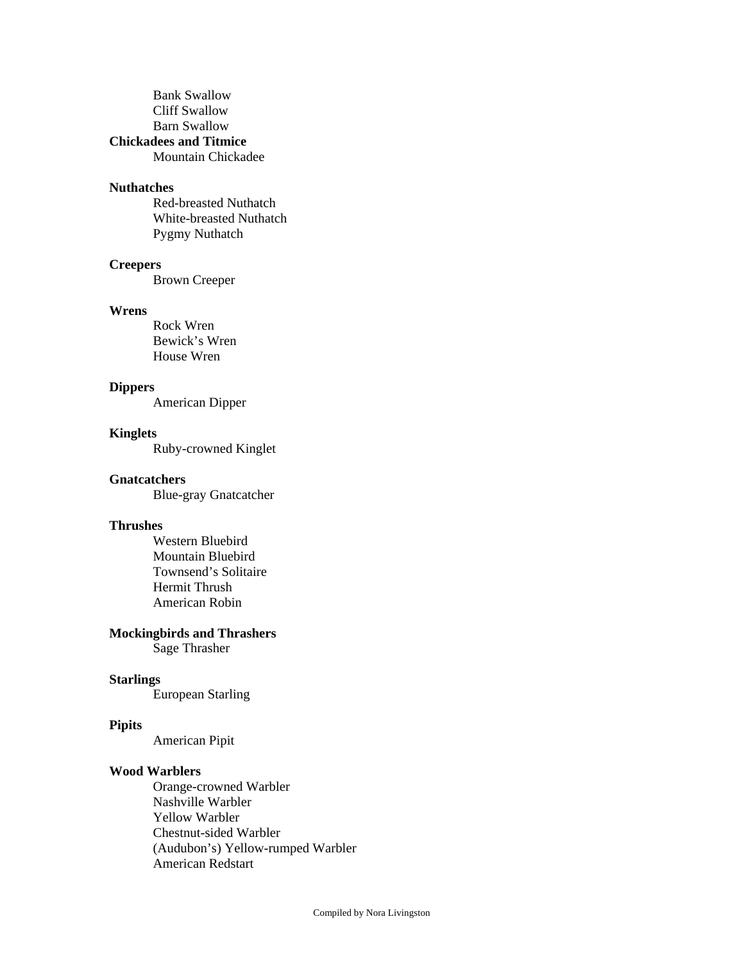Bank Swallow Cliff Swallow Barn Swallow **Chickadees and Titmice**

Mountain Chickadee

# **Nuthatches**

 Red-breasted Nuthatch White-breasted Nuthatch Pygmy Nuthatch

# **Creepers**

Brown Creeper

#### **Wrens**

 Rock Wren Bewick's Wren House Wren

# **Dippers**

American Dipper

### **Kinglets**

Ruby-crowned Kinglet

# **Gnatcatchers**

Blue-gray Gnatcatcher

# **Thrushes**

 Western Bluebird Mountain Bluebird Townsend's Solitaire Hermit Thrush American Robin

# **Mockingbirds and Thrashers**

Sage Thrasher

# **Starlings**

European Starling

# **Pipits**

American Pipit

#### **Wood Warblers**

 Orange-crowned Warbler Nashville Warbler Yellow Warbler Chestnut-sided Warbler (Audubon's) Yellow-rumped Warbler American Redstart